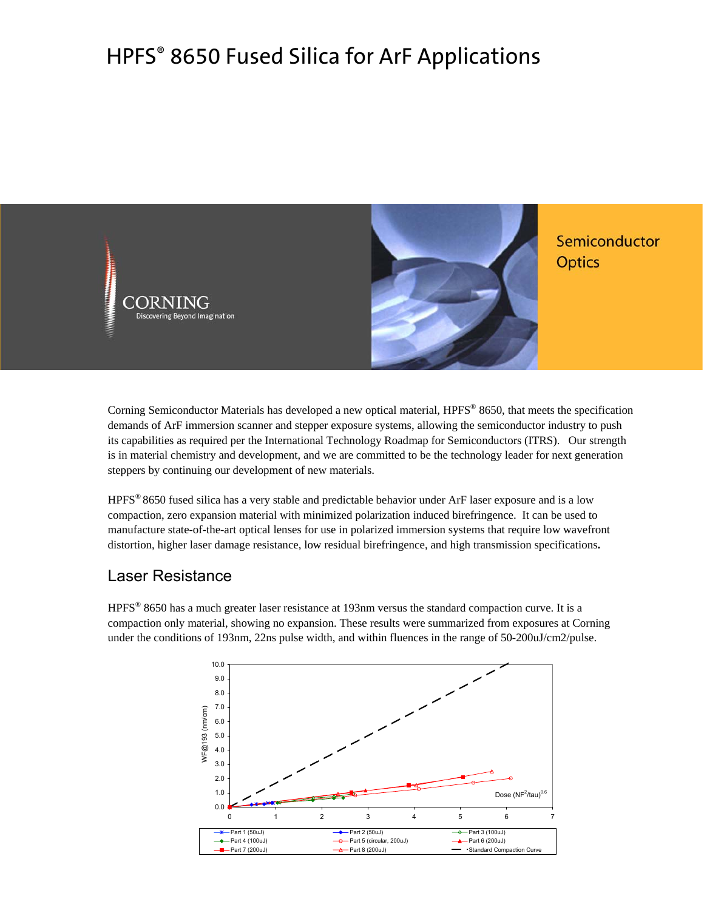# HPFS® 8650 Fused Silica for ArF Applications



Corning Semiconductor Materials has developed a new optical material, HPFS® 8650, that meets the specification demands of ArF immersion scanner and stepper exposure systems, allowing the semiconductor industry to push its capabilities as required per the International Technology Roadmap for Semiconductors (ITRS). Our strength is in material chemistry and development, and we are committed to be the technology leader for next generation steppers by continuing our development of new materials.

HPFS® 8650 fused silica has a very stable and predictable behavior under ArF laser exposure and is a low compaction, zero expansion material with minimized polarization induced birefringence. It can be used to manufacture state-of-the-art optical lenses for use in polarized immersion systems that require low wavefront distortion, higher laser damage resistance, low residual birefringence, and high transmission specifications**.**

# Laser Resistance

HPFS® 8650 has a much greater laser resistance at 193nm versus the standard compaction curve. It is a compaction only material, showing no expansion. These results were summarized from exposures at Corning under the conditions of 193nm, 22ns pulse width, and within fluences in the range of 50-200uJ/cm2/pulse.

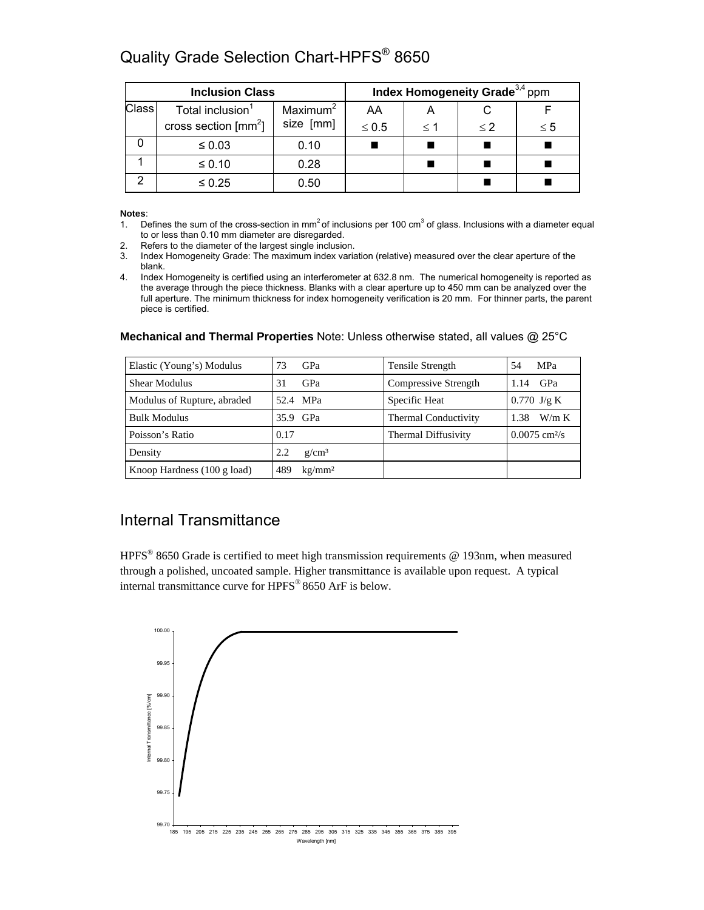# Quality Grade Selection Chart-HPFS<sup>®</sup> 8650

| <b>Inclusion Class</b> |                                |                      | Index Homogeneity Grade <sup>3,4</sup> ppm |          |       |          |
|------------------------|--------------------------------|----------------------|--------------------------------------------|----------|-------|----------|
| Class                  | Total inclusion <sup>1</sup>   | Maximum <sup>2</sup> | AA                                         |          |       |          |
|                        | cross section $\text{[mm}^2$ ] | size [mm]            | $\leq 0.5$                                 | $\leq 1$ | $<$ 2 | $\leq 5$ |
|                        | $\leq 0.03$                    | 0.10                 |                                            |          |       |          |
|                        | $\leq 0.10$                    | 0.28                 |                                            |          |       |          |
| ⌒                      | $\leq 0.25$                    | 0.50                 |                                            |          |       |          |

**Notes**:

- 1. Defines the sum of the cross-section in mm<sup>2</sup> of inclusions per 100 cm<sup>3</sup> of glass. Inclusions with a diameter equal to or less than 0.10 mm diameter are disregarded.
- 2. Refers to the diameter of the largest single inclusion.
- 3. Index Homogeneity Grade: The maximum index variation (relative) measured over the clear aperture of the blank.
- 4. Index Homogeneity is certified using an interferometer at 632.8 nm. The numerical homogeneity is reported as the average through the piece thickness. Blanks with a clear aperture up to 450 mm can be analyzed over the full aperture. The minimum thickness for index homogeneity verification is 20 mm. For thinner parts, the parent piece is certified.

| Elastic (Young's) Modulus             | GPa<br>73                 | Tensile Strength     | <b>MPa</b><br>54            |
|---------------------------------------|---------------------------|----------------------|-----------------------------|
| Shear Modulus                         | GPa<br>31                 | Compressive Strength | GPa<br>1.14                 |
| Modulus of Rupture, abraded           | 52.4 MPa                  | Specific Heat        | $0.770$ J/g K               |
| <b>Bulk Modulus</b>                   | 35.9 GPa                  | Thermal Conductivity | W/m K<br>1.38               |
| Poisson's Ratio                       | 0.17                      | Thermal Diffusivity  | $0.0075$ cm <sup>2</sup> /s |
| Density                               | $g/cm^3$<br>2.2           |                      |                             |
| Knoop Hardness $(100 \text{ g load})$ | kg/mm <sup>2</sup><br>489 |                      |                             |

### **Mechanical and Thermal Properties** Note: Unless otherwise stated, all values @ 25°C

# Internal Transmittance

HPFS® 8650 Grade is certified to meet high transmission requirements @ 193nm, when measured through a polished, uncoated sample. Higher transmittance is available upon request. A typical internal transmittance curve for HPFS® 8650 ArF is below.

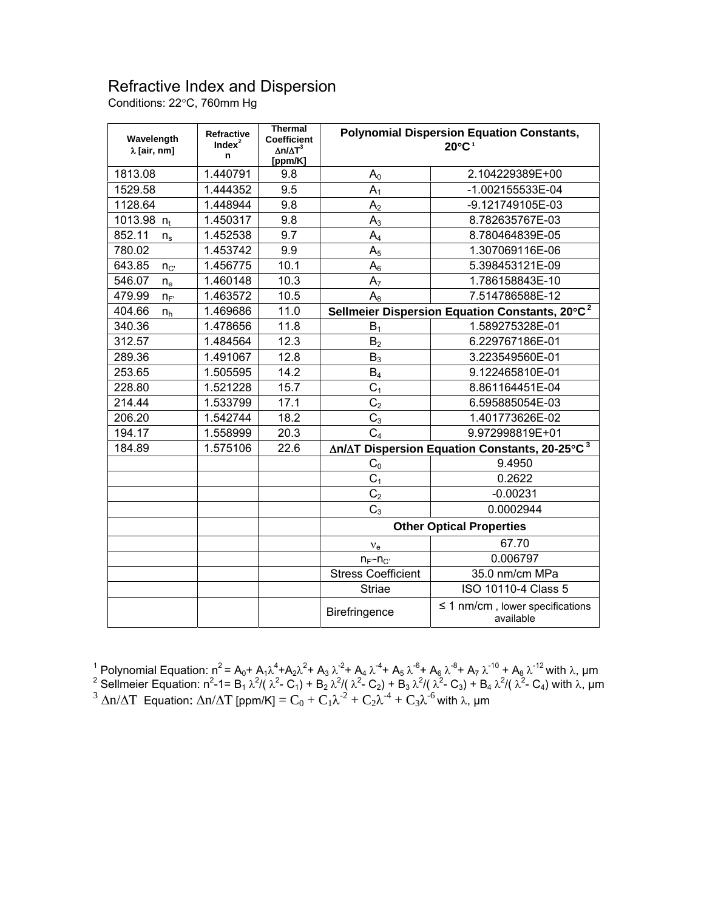# Refractive Index and Dispersion

Conditions: 22°C, 760mm Hg

| Wavelength<br>$\lambda$ [air, nm] | <b>Refractive</b><br>Index <sup>2</sup><br>n | <b>Thermal</b><br><b>Coefficient</b><br>$\Delta n/\Delta T^3$<br>[ppm/K] | <b>Polynomial Dispersion Equation Constants,</b><br>$20^{\circ}$ C <sup>1</sup> |                                                   |  |
|-----------------------------------|----------------------------------------------|--------------------------------------------------------------------------|---------------------------------------------------------------------------------|---------------------------------------------------|--|
| 1813.08                           | 1.440791                                     | 9.8                                                                      | $A_0$                                                                           | 2.104229389E+00                                   |  |
| 1529.58                           | 1.444352                                     | 9.5                                                                      | $A_1$                                                                           | -1.002155533E-04                                  |  |
| 1128.64                           | 1.448944                                     | 9.8                                                                      | A <sub>2</sub>                                                                  | -9.121749105E-03                                  |  |
| 1013.98 $n_t$                     | 1.450317                                     | 9.8                                                                      | $A_3$                                                                           | 8.782635767E-03                                   |  |
| 852.11<br>$n_{\rm s}$             | 1.452538                                     | 9.7                                                                      | $A_4$                                                                           | 8.780464839E-05                                   |  |
| 780.02                            | 1.453742                                     | 9.9                                                                      | A <sub>5</sub>                                                                  | 1.307069116E-06                                   |  |
| 643.85<br>$n_{C}$                 | 1.456775                                     | 10.1                                                                     | $A_6$                                                                           | 5.398453121E-09                                   |  |
| 546.07<br>$n_e$                   | 1.460148                                     | 10.3                                                                     | A <sub>7</sub>                                                                  | 1.786158843E-10                                   |  |
| 479.99<br>$n_F$                   | 1.463572                                     | 10.5                                                                     | $A_8$                                                                           | 7.514786588E-12                                   |  |
| 404.66<br>$n_{h}$                 | 1.469686                                     | 11.0                                                                     | Sellmeier Dispersion Equation Constants, 20°C <sup>2</sup>                      |                                                   |  |
| 340.36                            | 1.478656                                     | 11.8                                                                     | $B_1$                                                                           | 1.589275328E-01                                   |  |
| 312.57                            | 1.484564                                     | 12.3                                                                     | B <sub>2</sub>                                                                  | 6.229767186E-01                                   |  |
| 289.36                            | 1.491067                                     | 12.8                                                                     | $B_3$                                                                           | 3.223549560E-01                                   |  |
| 253.65                            | 1.505595                                     | 14.2                                                                     | $B_4$                                                                           | 9.122465810E-01                                   |  |
| 228.80                            | 1.521228                                     | 15.7                                                                     | C <sub>1</sub>                                                                  | 8.861164451E-04                                   |  |
| 214.44                            | 1.533799                                     | 17.1                                                                     | C <sub>2</sub>                                                                  | 6.595885054E-03                                   |  |
| 206.20                            | 1.542744                                     | 18.2                                                                     | $C_3$                                                                           | 1.401773626E-02                                   |  |
| 194.17                            | 1.558999                                     | 20.3                                                                     | C <sub>4</sub>                                                                  | 9.972998819E+01                                   |  |
| 1.575106<br>184.89                |                                              | 22.6                                                                     | ∆n/∆T Dispersion Equation Constants, 20-25°C <sup>3</sup>                       |                                                   |  |
|                                   |                                              |                                                                          | C <sub>0</sub>                                                                  | 9.4950                                            |  |
|                                   |                                              |                                                                          | C <sub>1</sub>                                                                  | 0.2622                                            |  |
|                                   |                                              |                                                                          | C <sub>2</sub>                                                                  | $-0.00231$                                        |  |
|                                   |                                              |                                                                          | $C_3$                                                                           | 0.0002944                                         |  |
|                                   |                                              |                                                                          | <b>Other Optical Properties</b>                                                 |                                                   |  |
|                                   |                                              |                                                                          | $v_{e}$                                                                         | 67.70                                             |  |
|                                   |                                              |                                                                          | $n_{F}$ - $n_{C}$                                                               | 0.006797                                          |  |
|                                   |                                              |                                                                          | <b>Stress Coefficient</b>                                                       | 35.0 nm/cm MPa                                    |  |
|                                   |                                              |                                                                          | <b>Striae</b>                                                                   | ISO 10110-4 Class 5                               |  |
|                                   |                                              |                                                                          | Birefringence                                                                   | $\leq$ 1 nm/cm, lower specifications<br>available |  |

<sup>1</sup> Polynomial Equation: n<sup>2</sup> = A<sub>0</sub>+ A<sub>1</sub>λ<sup>4</sup>+A<sub>2</sub>λ<sup>2</sup>+ A<sub>3</sub> λ<sup>-2</sup>+ A<sub>4</sub> λ<sup>-4</sup>+ A<sub>5</sub> λ<sup>-6</sup>+ A<sub>6</sub> λ<sup>-8</sup>+ A<sub>7</sub> λ<sup>-10</sup> + A<sub>8</sub> λ<sup>-12</sup> with λ, μm<br><sup>2</sup> Sellmeier Equation: n<sup>2</sup>-1= B<sub>1</sub> λ<sup>2</sup>/( λ<sup>2</sup>- C<sub>1</sub>) + B<sub>2</sub> λ<sup>2</sup>/( λ<sup>2</sup>- C<sub></sub>  $^3$  Δn/ΔT Equation: Δn/ΔT [ppm/K] =  $C_0 + C_1 \lambda^{-2} + C_2 \lambda^{-4} + C_3 \lambda^{-6}$  with  $\lambda$ , μm